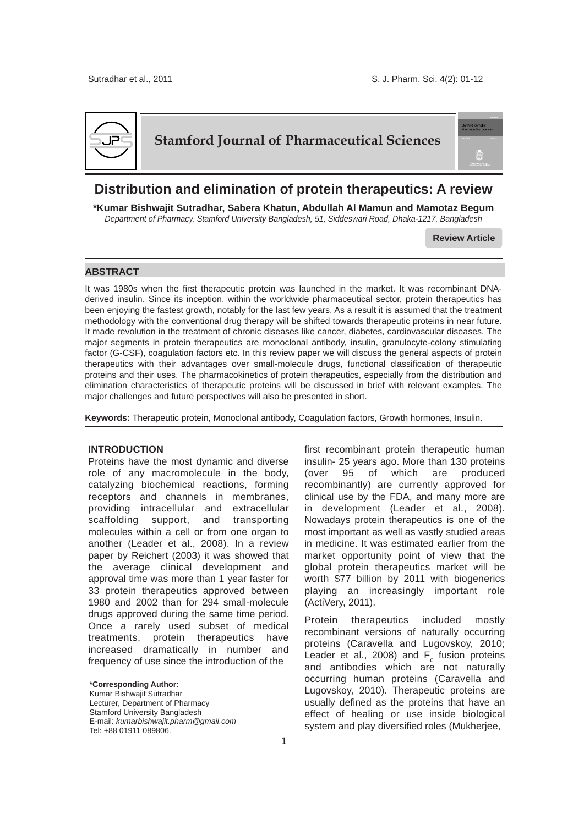

# **Stamford Journal of Pharmaceutical Sciences**

# **Distribution and elimination of protein therapeutics: A review**

**\*Kumar Bishwajit Sutradhar, Sabera Khatun, Abdullah Al Mamun and Mamotaz Begum** *Department of Pharmacy, Stamford University Bangladesh, 51, Siddeswari Road, Dhaka-1217, Bangladesh*

**Review Article**

## **ABSTRACT**

It was 1980s when the first therapeutic protein was launched in the market. It was recombinant DNAderived insulin. Since its inception, within the worldwide pharmaceutical sector, protein therapeutics has been enjoying the fastest growth, notably for the last few years. As a result it is assumed that the treatment methodology with the conventional drug therapy will be shifted towards therapeutic proteins in near future. It made revolution in the treatment of chronic diseases like cancer, diabetes, cardiovascular diseases. The major segments in protein therapeutics are monoclonal antibody, insulin, granulocyte-colony stimulating factor (G-CSF), coagulation factors etc. In this review paper we will discuss the general aspects of protein therapeutics with their advantages over small-molecule drugs, functional classification of therapeutic proteins and their uses. The pharmacokinetics of protein therapeutics, especially from the distribution and elimination characteristics of therapeutic proteins will be discussed in brief with relevant examples. The major challenges and future perspectives will also be presented in short.

**Keywords:** Therapeutic protein, Monoclonal antibody, Coagulation factors, Growth hormones, Insulin.

## **INTRODUCTION**

Proteins have the most dynamic and diverse role of any macromolecule in the body, catalyzing biochemical reactions, forming receptors and channels in membranes, providing intracellular and extracellular scaffolding support, and transporting molecules within a cell or from one organ to another (Leader et al., 2008). In a review paper by Reichert (2003) it was showed that the average clinical development and approval time was more than 1 year faster for 33 protein therapeutics approved between 1980 and 2002 than for 294 small-molecule drugs approved during the same time period. Once a rarely used subset of medical treatments, protein therapeutics have increased dramatically in number and frequency of use since the introduction of the

**\*Corresponding Author:** Kumar Bishwajit Sutradhar Lecturer, Department of Pharmacy Stamford University Bangladesh E-mail: *kumarbishwajit.pharm@gmail.com* Tel: +88 01911 089806.

first recombinant protein therapeutic human insulin- 25 years ago. More than 130 proteins (over 95 of which are produced recombinantly) are currently approved for clinical use by the FDA, and many more are in development (Leader et al., 2008). Nowadays protein therapeutics is one of the most important as well as vastly studied areas in medicine. It was estimated earlier from the market opportunity point of view that the global protein therapeutics market will be worth \$77 billion by 2011 with biogenerics playing an increasingly important role (ActiVery, 2011).

Protein therapeutics included mostly recombinant versions of naturally occurring proteins (Caravella and Lugovskoy, 2010; Leader et al., 2008) and  $F_c$  fusion proteins and antibodies which are not naturally occurring human proteins (Caravella and Lugovskoy, 2010). Therapeutic proteins are usually defined as the proteins that have an effect of healing or use inside biological system and play diversified roles (Mukherjee,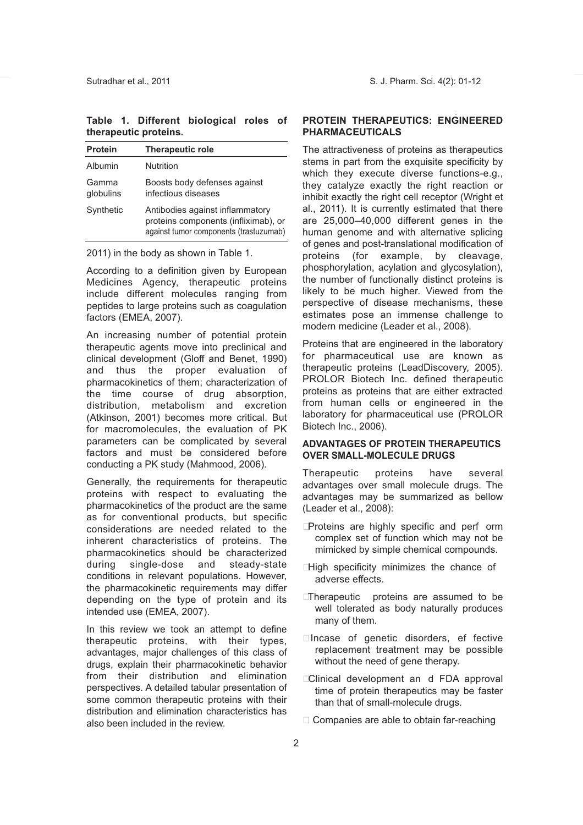**Table 1. Different biological roles of therapeutic proteins.** 

| <b>Protein</b>     | <b>Therapeutic role</b>                                                                                           |
|--------------------|-------------------------------------------------------------------------------------------------------------------|
| Albumin            | Nutrition                                                                                                         |
| Gamma<br>globulins | Boosts body defenses against<br>infectious diseases                                                               |
| Synthetic          | Antibodies against inflammatory<br>proteins components (infliximab), or<br>against tumor components (trastuzumab) |

2011) in the body as shown in Table 1.

According to a definition given by European Medicines Agency, therapeutic proteins include different molecules ranging from peptides to large proteins such as coagulation factors (EMEA, 2007).

An increasing number of potential protein therapeutic agents move into preclinical and clinical development (Gloff and Benet, 1990) and thus the proper evaluation of pharmacokinetics of them; characterization of the time course of drug absorption, distribution, metabolism and excretion (Atkinson, 2001) becomes more critical. But for macromolecules, the evaluation of PK parameters can be complicated by several factors and must be considered before conducting a PK study (Mahmood, 2006).

Generally, the requirements for therapeutic proteins with respect to evaluating the pharmacokinetics of the product are the same as for conventional products, but specific considerations are needed related to the inherent characteristics of proteins. The pharmacokinetics should be characterized during single-dose and steady-state conditions in relevant populations. However, the pharmacokinetic requirements may differ depending on the type of protein and its intended use (EMEA, 2007).

In this review we took an attempt to define therapeutic proteins, with their types, advantages, major challenges of this class of drugs, explain their pharmacokinetic behavior from their distribution and elimination perspectives. A detailed tabular presentation of some common therapeutic proteins with their distribution and elimination characteristics has also been included in the review.

## **PROTEIN THERAPEUTICS: ENGINEERED PHARMACEUTICALS**

The attractiveness of proteins as therapeutics stems in part from the exquisite specificity by which they execute diverse functions-e.g., they catalyze exactly the right reaction or inhibit exactly the right cell receptor (Wright et al., 2011). It is currently estimated that there are 25,000–40,000 different genes in the human genome and with alternative splicing of genes and post-translational modification of proteins (for example, by cleavage, phosphorylation, acylation and glycosylation), the number of functionally distinct proteins is likely to be much higher. Viewed from the perspective of disease mechanisms, these estimates pose an immense challenge to modern medicine (Leader et al., 2008).

Proteins that are engineered in the laboratory for pharmaceutical use are known as therapeutic proteins (LeadDiscovery, 2005). PROLOR Biotech Inc. defined therapeutic proteins as proteins that are either extracted from human cells or engineered in the laboratory for pharmaceutical use (PROLOR Biotech Inc., 2006).

## **ADVANTAGES OF PROTEIN THERAPEUTICS OVER SMALL-MOLECULE DRUGS**

Therapeutic proteins have several advantages over small molecule drugs. The advantages may be summarized as bellow (Leader et al., 2008):

- **Proteins are highly specific and perf orm** complex set of function which may not be mimicked by simple chemical compounds.
- $\Box$  High specificity minimizes the chance of adverse effects.
- **Therapeutic** proteins are assumed to be well tolerated as body naturally produces many of them.
- $\square$  Incase of genetic disorders, ef fective replacement treatment may be possible without the need of gene therapy.
- **EClinical development an d FDA approval** time of protein therapeutics may be faster than that of small-molecule drugs.
- $\Box$  Companies are able to obtain far-reaching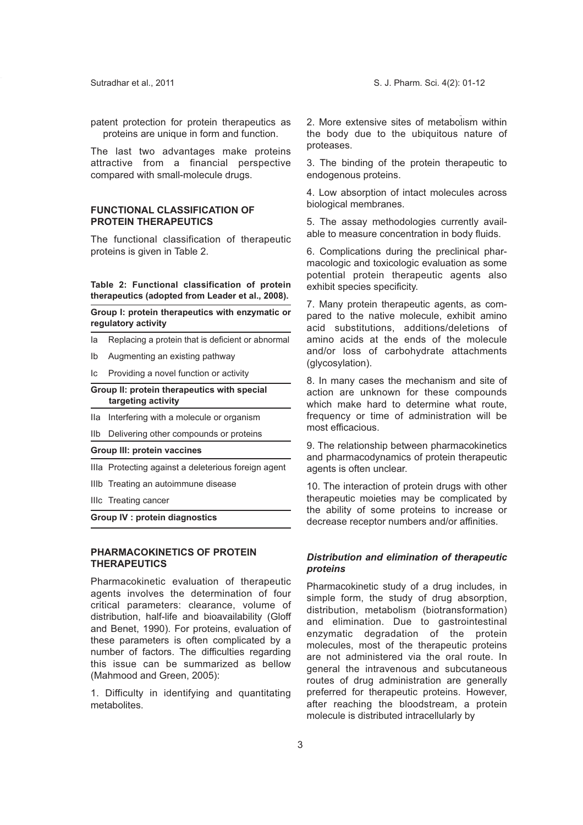patent protection for protein therapeutics as proteins are unique in form and function.

The last two advantages make proteins attractive from a financial perspective compared with small-molecule drugs.

## **FUNCTIONAL CLASSIFICATION OF PROTEIN THERAPEUTICS**

The functional classification of therapeutic proteins is given in Table 2.

#### **Table 2: Functional classification of protein therapeutics (adopted from Leader et al., 2008).**

**Group I: protein therapeutics with enzymatic or regulatory activity**

- Ia Replacing a protein that is deficient or abnormal
- Ib Augmenting an existing pathway

Ic Providing a novel function or activity

#### **Group II: protein therapeutics with special targeting activity**

IIa Interfering with a molecule or organism

IIb Delivering other compounds or proteins

#### **Group III: protein vaccines**

IIIa Protecting against a deleterious foreign agent

- IIIb Treating an autoimmune disease
- IIIc Treating cancer

**Group IV : protein diagnostics**

## **PHARMACOKINETICS OF PROTEIN THERAPEUTICS**

Pharmacokinetic evaluation of therapeutic agents involves the determination of four critical parameters: clearance, volume of distribution, half-life and bioavailability (Gloff and Benet, 1990). For proteins, evaluation of these parameters is often complicated by a number of factors. The difficulties regarding this issue can be summarized as bellow (Mahmood and Green, 2005):

1. Difficulty in identifying and quantitating metabolites.

2. More extensive sites of metabolism within the body due to the ubiquitous nature of proteases.

3. The binding of the protein therapeutic to endogenous proteins.

4. Low absorption of intact molecules across biological membranes.

5. The assay methodologies currently available to measure concentration in body fluids.

6. Complications during the preclinical pharmacologic and toxicologic evaluation as some potential protein therapeutic agents also exhibit species specificity.

7. Many protein therapeutic agents, as compared to the native molecule, exhibit amino acid substitutions, additions/deletions of amino acids at the ends of the molecule and/or loss of carbohydrate attachments (glycosylation).

8. In many cases the mechanism and site of action are unknown for these compounds which make hard to determine what route, frequency or time of administration will be most efficacious.

9. The relationship between pharmacokinetics and pharmacodynamics of protein therapeutic agents is often unclear.

10. The interaction of protein drugs with other therapeutic moieties may be complicated by the ability of some proteins to increase or decrease receptor numbers and/or affinities.

## *Distribution and elimination of therapeutic proteins*

Pharmacokinetic study of a drug includes, in simple form, the study of drug absorption, distribution, metabolism (biotransformation) and elimination. Due to gastrointestinal enzymatic degradation of the protein molecules, most of the therapeutic proteins are not administered via the oral route. In general the intravenous and subcutaneous routes of drug administration are generally preferred for therapeutic proteins. However, after reaching the bloodstream, a protein molecule is distributed intracellularly by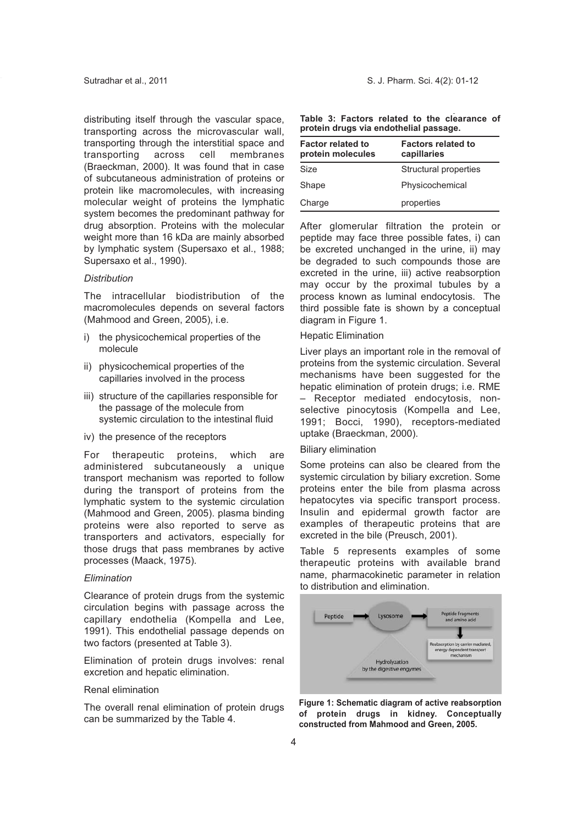distributing itself through the vascular space, transporting across the microvascular wall, transporting through the interstitial space and transporting across cell membranes (Braeckman, 2000). It was found that in case of subcutaneous administration of proteins or protein like macromolecules, with increasing molecular weight of proteins the lymphatic system becomes the predominant pathway for drug absorption. Proteins with the molecular weight more than 16 kDa are mainly absorbed by lymphatic system (Supersaxo et al., 1988; Supersaxo et al., 1990).

## *Distribution*

The intracellular biodistribution of the macromolecules depends on several factors (Mahmood and Green, 2005), i.e.

- i) the physicochemical properties of the molecule
- ii) physicochemical properties of the capillaries involved in the process
- iii) structure of the capillaries responsible for the passage of the molecule from systemic circulation to the intestinal fluid
- iv) the presence of the receptors

For therapeutic proteins, which are administered subcutaneously a unique transport mechanism was reported to follow during the transport of proteins from the lymphatic system to the systemic circulation (Mahmood and Green, 2005). plasma binding proteins were also reported to serve as transporters and activators, especially for those drugs that pass membranes by active processes (Maack, 1975).

## *Elimination*

Clearance of protein drugs from the systemic circulation begins with passage across the capillary endothelia (Kompella and Lee, 1991). This endothelial passage depends on two factors (presented at Table 3).

Elimination of protein drugs involves: renal excretion and hepatic elimination.

## Renal elimination

The overall renal elimination of protein drugs can be summarized by the Table 4.

|  |  |                                        |  | Table 3: Factors related to the clearance of |  |
|--|--|----------------------------------------|--|----------------------------------------------|--|
|  |  | protein drugs via endothelial passage. |  |                                              |  |

| <b>Factor related to</b><br>protein molecules | <b>Factors related to</b><br>capillaries |
|-----------------------------------------------|------------------------------------------|
| <b>Size</b>                                   | Structural properties                    |
| Shape                                         | Physicochemical                          |
| Charge                                        | properties                               |

After glomerular filtration the protein or peptide may face three possible fates, i) can be excreted unchanged in the urine, ii) may be degraded to such compounds those are excreted in the urine, iii) active reabsorption may occur by the proximal tubules by a process known as luminal endocytosis. The third possible fate is shown by a conceptual diagram in Figure 1.

#### Hepatic Elimination

Liver plays an important role in the removal of proteins from the systemic circulation. Several mechanisms have been suggested for the hepatic elimination of protein drugs; i.e. RME – Receptor mediated endocytosis, nonselective pinocytosis (Kompella and Lee, 1991; Bocci, 1990), receptors-mediated uptake (Braeckman, 2000).

## Biliary elimination

Some proteins can also be cleared from the systemic circulation by biliary excretion. Some proteins enter the bile from plasma across hepatocytes via specific transport process. Insulin and epidermal growth factor are examples of therapeutic proteins that are excreted in the bile (Preusch, 2001).

Table 5 represents examples of some therapeutic proteins with available brand name, pharmacokinetic parameter in relation to distribution and elimination.



**Figure 1: Schematic diagram of active reabsorption of protein drugs in kidney. Conceptually constructed from Mahmood and Green, 2005.**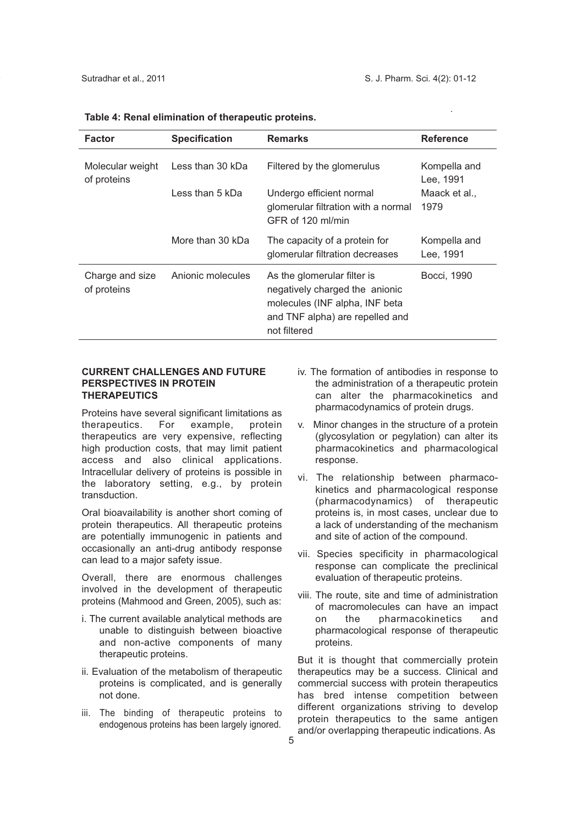| <b>Factor</b>                   | <b>Specification</b> | <b>Remarks</b>                                                                                                                                     | <b>Reference</b>          |
|---------------------------------|----------------------|----------------------------------------------------------------------------------------------------------------------------------------------------|---------------------------|
| Molecular weight<br>of proteins | Less than 30 kDa     | Filtered by the glomerulus                                                                                                                         | Kompella and<br>Lee, 1991 |
|                                 | Less than 5 kDa      | Undergo efficient normal<br>glomerular filtration with a normal<br>GFR of 120 ml/min                                                               | Maack et al.,<br>1979     |
|                                 | More than 30 kDa     | The capacity of a protein for<br>glomerular filtration decreases                                                                                   | Kompella and<br>Lee, 1991 |
| Charge and size<br>of proteins  | Anionic molecules    | As the glomerular filter is<br>negatively charged the anionic<br>molecules (INF alpha, INF beta<br>and TNF alpha) are repelled and<br>not filtered | Bocci, 1990               |

## **Table 4: Renal elimination of therapeutic proteins.**

## **CURRENT CHALLENGES AND FUTURE PERSPECTIVES IN PROTEIN THERAPEUTICS**

Proteins have several significant limitations as therapeutics. For example, protein therapeutics are very expensive, reflecting high production costs, that may limit patient access and also clinical applications. Intracellular delivery of proteins is possible in the laboratory setting, e.g., by protein transduction.

Oral bioavailability is another short coming of protein therapeutics. All therapeutic proteins are potentially immunogenic in patients and occasionally an anti-drug antibody response can lead to a major safety issue.

Overall, there are enormous challenges involved in the development of therapeutic proteins (Mahmood and Green, 2005), such as:

- i. The current available analytical methods are unable to distinguish between bioactive and non-active components of many therapeutic proteins.
- ii. Evaluation of the metabolism of therapeutic proteins is complicated, and is generally not done.
- iii. The binding of therapeutic proteins to endogenous proteins has been largely ignored.
- iv. The formation of antibodies in response to the administration of a therapeutic protein can alter the pharmacokinetics and pharmacodynamics of protein drugs.
- v. Minor changes in the structure of a protein (glycosylation or pegylation) can alter its pharmacokinetics and pharmacological response.
- vi. The relationship between pharmacokinetics and pharmacological response (pharmacodynamics) of therapeutic proteins is, in most cases, unclear due to a lack of understanding of the mechanism and site of action of the compound.
- vii. Species specificity in pharmacological response can complicate the preclinical evaluation of therapeutic proteins.
- viii. The route, site and time of administration of macromolecules can have an impact on the pharmacokinetics and pharmacological response of therapeutic proteins.

But it is thought that commercially protein therapeutics may be a success. Clinical and commercial success with protein therapeutics has bred intense competition between different organizations striving to develop protein therapeutics to the same antigen and/or overlapping therapeutic indications. As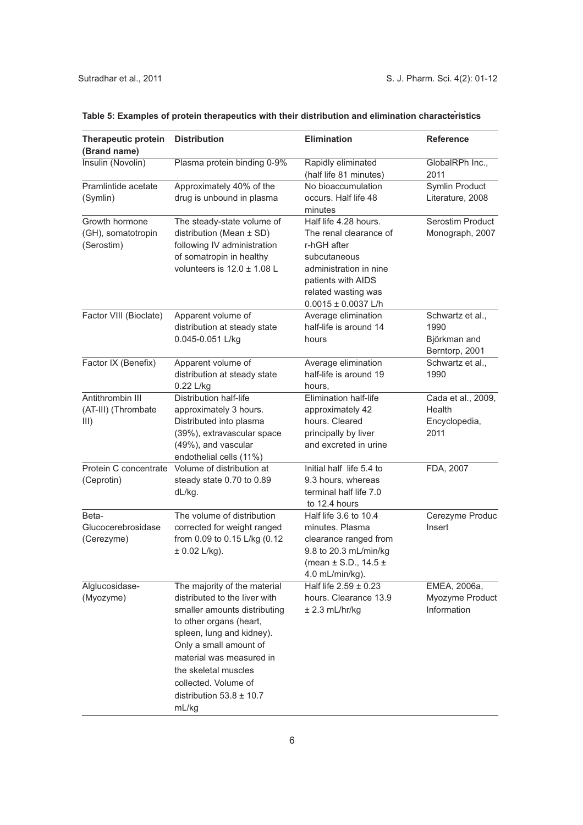| <b>Therapeutic protein</b><br>(Brand name)         | <b>Distribution</b>                                                                                                                                                                                                                                                                                  | <b>Elimination</b>                                                                                                                                                               | <b>Reference</b>                                           |
|----------------------------------------------------|------------------------------------------------------------------------------------------------------------------------------------------------------------------------------------------------------------------------------------------------------------------------------------------------------|----------------------------------------------------------------------------------------------------------------------------------------------------------------------------------|------------------------------------------------------------|
| Insulin (Novolin)                                  | Plasma protein binding 0-9%                                                                                                                                                                                                                                                                          | Rapidly eliminated<br>(half life 81 minutes)                                                                                                                                     | GlobalRPh Inc.,<br>2011                                    |
| Pramlintide acetate<br>(Symlin)                    | Approximately 40% of the<br>drug is unbound in plasma                                                                                                                                                                                                                                                | No bioaccumulation<br>occurs. Half life 48<br>minutes                                                                                                                            | Symlin Product<br>Literature, 2008                         |
| Growth hormone<br>(GH), somatotropin<br>(Serostim) | The steady-state volume of<br>distribution (Mean ± SD)<br>following IV administration<br>of somatropin in healthy<br>volunteers is $12.0 \pm 1.08$ L                                                                                                                                                 | Half life 4.28 hours.<br>The renal clearance of<br>r-hGH after<br>subcutaneous<br>administration in nine<br>patients with AIDS<br>related wasting was<br>$0.0015 \pm 0.0037$ L/h | Serostim Product<br>Monograph, 2007                        |
| Factor VIII (Bioclate)                             | Apparent volume of<br>distribution at steady state<br>0.045-0.051 L/kg                                                                                                                                                                                                                               | Average elimination<br>half-life is around 14<br>hours                                                                                                                           | Schwartz et al.,<br>1990<br>Björkman and<br>Berntorp, 2001 |
| Factor IX (Benefix)                                | Apparent volume of<br>distribution at steady state<br>0.22 L/kg                                                                                                                                                                                                                                      | Average elimination<br>half-life is around 19<br>hours,                                                                                                                          | Schwartz et al.,<br>1990                                   |
| Antithrombin III<br>(AT-III) (Thrombate<br>III)    | Distribution half-life<br>approximately 3 hours.<br>Distributed into plasma<br>(39%), extravascular space<br>(49%), and vascular<br>endothelial cells (11%)                                                                                                                                          | Elimination half-life<br>approximately 42<br>hours. Cleared<br>principally by liver<br>and excreted in urine                                                                     | Cada et al., 2009,<br>Health<br>Encyclopedia,<br>2011      |
| Protein C concentrate<br>(Ceprotin)                | Volume of distribution at<br>steady state 0.70 to 0.89<br>dL/kg.                                                                                                                                                                                                                                     | Initial half life 5.4 to<br>9.3 hours, whereas<br>terminal half life 7.0<br>to 12.4 hours                                                                                        | FDA, 2007                                                  |
| Beta-<br>Glucocerebrosidase<br>(Cerezyme)          | The volume of distribution<br>corrected for weight ranged<br>from 0.09 to 0.15 L/kg (0.12<br>$± 0.02$ L/kg).                                                                                                                                                                                         | Half life 3.6 to 10.4<br>minutes. Plasma<br>clearance ranged from<br>9.8 to 20.3 mL/min/kg<br>(mean $\pm$ S.D., 14.5 $\pm$<br>4.0 mL/min/kg).                                    | Cerezyme Produc<br>Insert                                  |
| Alglucosidase-<br>(Myozyme)                        | The majority of the material<br>distributed to the liver with<br>smaller amounts distributing<br>to other organs (heart,<br>spleen, lung and kidney).<br>Only a small amount of<br>material was measured in<br>the skeletal muscles<br>collected. Volume of<br>distribution $53.8 \pm 10.7$<br>mL/kg | Half life $2.59 \pm 0.23$<br>hours. Clearance 13.9<br>$± 2.3$ mL/hr/kg                                                                                                           | EMEA, 2006a,<br>Myozyme Product<br>Information             |

# **Table 5: Examples of protein therapeutics with their distribution and elimination characteristics**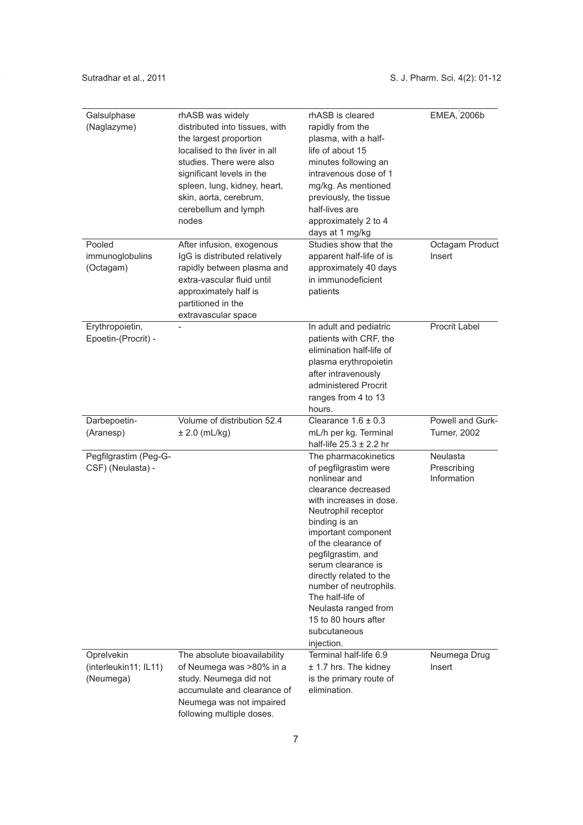| Galsulphase           | rhASB was widely               | rhASB is cleared                         | <b>EMEA, 2006b</b>  |
|-----------------------|--------------------------------|------------------------------------------|---------------------|
| (Naglazyme)           | distributed into tissues, with | rapidly from the                         |                     |
|                       | the largest proportion         | plasma, with a half-                     |                     |
|                       | localised to the liver in all  | life of about 15                         |                     |
|                       | studies. There were also       | minutes following an                     |                     |
|                       | significant levels in the      | intravenous dose of 1                    |                     |
|                       | spleen, lung, kidney, heart,   | mg/kg. As mentioned                      |                     |
|                       | skin, aorta, cerebrum,         | previously, the tissue                   |                     |
|                       |                                | half-lives are                           |                     |
|                       | cerebellum and lymph<br>nodes  |                                          |                     |
|                       |                                | approximately 2 to 4                     |                     |
| Pooled                | After infusion, exogenous      | days at 1 mg/kg<br>Studies show that the | Octagam Product     |
|                       |                                |                                          | Insert              |
| immunoglobulins       | IgG is distributed relatively  | apparent half-life of is                 |                     |
| (Octagam)             | rapidly between plasma and     | approximately 40 days                    |                     |
|                       | extra-vascular fluid until     | in immunodeficient                       |                     |
|                       | approximately half is          | patients                                 |                     |
|                       | partitioned in the             |                                          |                     |
|                       | extravascular space            |                                          |                     |
| Erythropoietin,       |                                | In adult and pediatric                   | Procrit Label       |
| Epoetin-(Procrit) -   |                                | patients with CRF, the                   |                     |
|                       |                                | elimination half-life of                 |                     |
|                       |                                | plasma erythropoietin                    |                     |
|                       |                                | after intravenously                      |                     |
|                       |                                | administered Procrit                     |                     |
|                       |                                | ranges from 4 to 13                      |                     |
|                       |                                | hours.                                   |                     |
| Darbepoetin-          | Volume of distribution 52.4    | Clearance $1.6 \pm 0.3$                  | Powell and Gurk-    |
| (Aranesp)             | $± 2.0$ (mL/kg)                | mL/h per kg. Terminal                    | <b>Turner, 2002</b> |
|                       |                                | half-life $25.3 \pm 2.2$ hr              |                     |
| Pegfilgrastim (Peg-G- |                                | The pharmacokinetics                     | <b>Neulasta</b>     |
| CSF) (Neulasta) -     |                                | of pegfilgrastim were                    | Prescribing         |
|                       |                                | nonlinear and                            | Information         |
|                       |                                | clearance decreased                      |                     |
|                       |                                | with increases in dose.                  |                     |
|                       |                                | Neutrophil receptor<br>binding is an     |                     |
|                       |                                | important component                      |                     |
|                       |                                | of the clearance of                      |                     |
|                       |                                | pegfilgrastim, and                       |                     |
|                       |                                | serum clearance is                       |                     |
|                       |                                | directly related to the                  |                     |
|                       |                                | number of neutrophils.                   |                     |
|                       |                                | The half-life of                         |                     |
|                       |                                | Neulasta ranged from                     |                     |
|                       |                                | 15 to 80 hours after                     |                     |
|                       |                                | subcutaneous                             |                     |
|                       |                                | injection.                               |                     |
| Oprelvekin            | The absolute bioavailability   | Terminal half-life 6.9                   | Neumega Drug        |
| (interleukin11; IL11) | of Neumega was >80% in a       | $± 1.7$ hrs. The kidney                  | Insert              |
| (Neumega)             | study. Neumega did not         | is the primary route of                  |                     |
|                       | accumulate and clearance of    | elimination.                             |                     |
|                       | Neumega was not impaired       |                                          |                     |
|                       | following multiple doses.      |                                          |                     |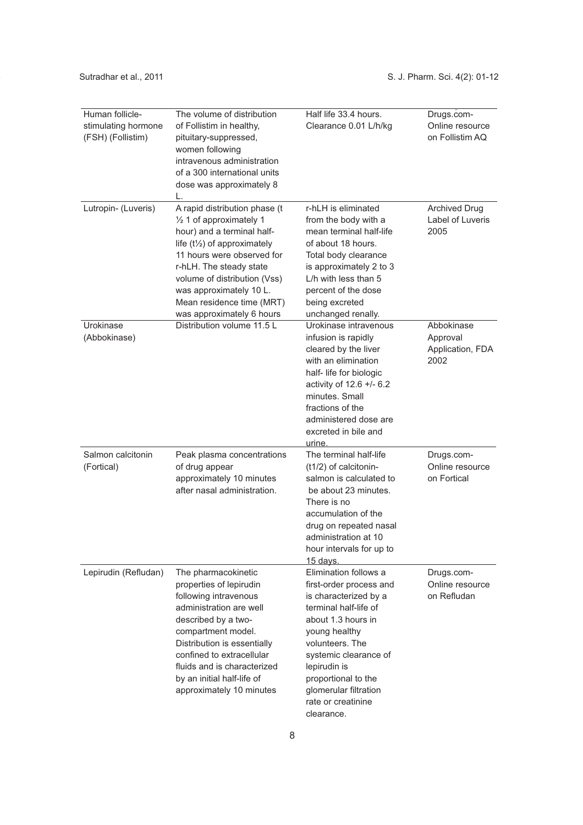| Human follicle-<br>stimulating hormone<br>(FSH) (Follistim) | The volume of distribution<br>of Follistim in healthy,<br>pituitary-suppressed,<br>women following<br>intravenous administration<br>of a 300 international units<br>dose was approximately 8<br>L.                                                                                                              | Half life 33.4 hours.<br>Clearance 0.01 L/h/kg                                                                                                                                                                                                                                            | Drugs.com-<br>Online resource<br>on Follistim AQ   |
|-------------------------------------------------------------|-----------------------------------------------------------------------------------------------------------------------------------------------------------------------------------------------------------------------------------------------------------------------------------------------------------------|-------------------------------------------------------------------------------------------------------------------------------------------------------------------------------------------------------------------------------------------------------------------------------------------|----------------------------------------------------|
| Lutropin- (Luveris)                                         | A rapid distribution phase (t<br>1/2 1 of approximately 1<br>hour) and a terminal half-<br>life $(t\frac{1}{2})$ of approximately<br>11 hours were observed for<br>r-hLH. The steady state<br>volume of distribution (Vss)<br>was approximately 10 L.<br>Mean residence time (MRT)<br>was approximately 6 hours | r-hLH is eliminated<br>from the body with a<br>mean terminal half-life<br>of about 18 hours.<br>Total body clearance<br>is approximately 2 to 3<br>L/h with less than 5<br>percent of the dose<br>being excreted<br>unchanged renally.                                                    | <b>Archived Drug</b><br>Label of Luveris<br>2005   |
| Urokinase<br>(Abbokinase)                                   | Distribution volume 11.5 L                                                                                                                                                                                                                                                                                      | Urokinase intravenous<br>infusion is rapidly<br>cleared by the liver<br>with an elimination<br>half- life for biologic<br>activity of $12.6 +/- 6.2$<br>minutes. Small<br>fractions of the<br>administered dose are<br>excreted in bile and<br>urine.                                     | Abbokinase<br>Approval<br>Application, FDA<br>2002 |
| Salmon calcitonin<br>(Fortical)                             | Peak plasma concentrations<br>of drug appear<br>approximately 10 minutes<br>after nasal administration.                                                                                                                                                                                                         | The terminal half-life<br>(t1/2) of calcitonin-<br>salmon is calculated to<br>be about 23 minutes.<br>There is no<br>accumulation of the<br>drug on repeated nasal<br>administration at 10<br>hour intervals for up to<br>15 days.                                                        | Drugs.com-<br>Online resource<br>on Fortical       |
| Lepirudin (Refludan)                                        | The pharmacokinetic<br>properties of lepirudin<br>following intravenous<br>administration are well<br>described by a two-<br>compartment model.<br>Distribution is essentially<br>confined to extracellular<br>fluids and is characterized<br>by an initial half-life of<br>approximately 10 minutes            | Elimination follows a<br>first-order process and<br>is characterized by a<br>terminal half-life of<br>about 1.3 hours in<br>young healthy<br>volunteers. The<br>systemic clearance of<br>lepirudin is<br>proportional to the<br>glomerular filtration<br>rate or creatinine<br>clearance. | Drugs.com-<br>Online resource<br>on Refludan       |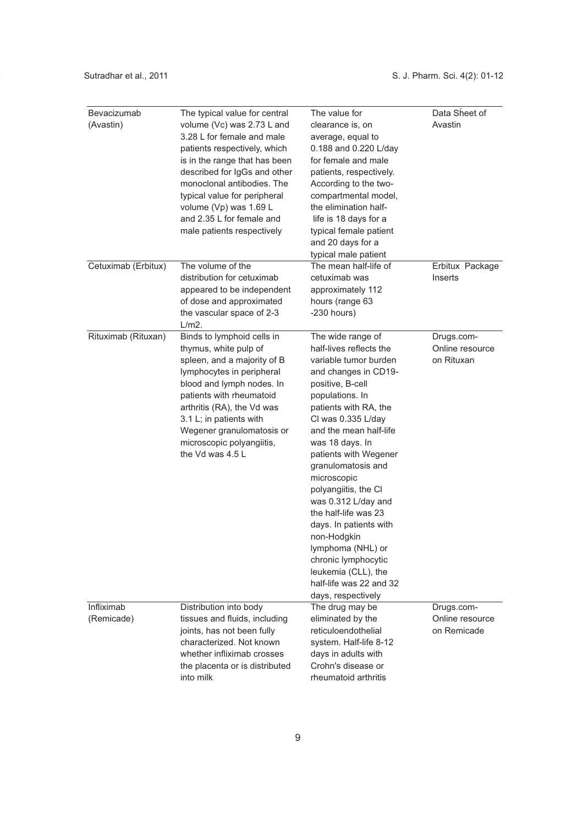| Bevacizumab<br>(Avastin) | The typical value for central<br>volume (Vc) was 2.73 L and<br>3.28 L for female and male<br>patients respectively, which<br>is in the range that has been<br>described for IgGs and other<br>monoclonal antibodies. The<br>typical value for peripheral<br>volume (Vp) was 1.69 L<br>and 2.35 L for female and<br>male patients respectively | The value for<br>clearance is, on<br>average, equal to<br>0.188 and 0.220 L/day<br>for female and male<br>patients, respectively.<br>According to the two-<br>compartmental model,<br>the elimination half-<br>life is 18 days for a<br>typical female patient<br>and 20 days for a<br>typical male patient                                                                                                                                                                                                                        | Data Sheet of<br>Avastin                     |
|--------------------------|-----------------------------------------------------------------------------------------------------------------------------------------------------------------------------------------------------------------------------------------------------------------------------------------------------------------------------------------------|------------------------------------------------------------------------------------------------------------------------------------------------------------------------------------------------------------------------------------------------------------------------------------------------------------------------------------------------------------------------------------------------------------------------------------------------------------------------------------------------------------------------------------|----------------------------------------------|
| Cetuximab (Erbitux)      | The volume of the<br>distribution for cetuximab<br>appeared to be independent<br>of dose and approximated<br>the vascular space of 2-3<br>L/m2.                                                                                                                                                                                               | The mean half-life of<br>cetuximab was<br>approximately 112<br>hours (range 63<br>$-230$ hours)                                                                                                                                                                                                                                                                                                                                                                                                                                    | Erbitux Package<br>Inserts                   |
| Rituximab (Rituxan)      | Binds to lymphoid cells in<br>thymus, white pulp of<br>spleen, and a majority of B<br>lymphocytes in peripheral<br>blood and lymph nodes. In<br>patients with rheumatoid<br>arthritis (RA), the Vd was<br>3.1 L; in patients with<br>Wegener granulomatosis or<br>microscopic polyangiitis,<br>the Vd was 4.5 L                               | The wide range of<br>half-lives reflects the<br>variable tumor burden<br>and changes in CD19-<br>positive, B-cell<br>populations. In<br>patients with RA, the<br>CI was 0.335 L/day<br>and the mean half-life<br>was 18 days. In<br>patients with Wegener<br>granulomatosis and<br>microscopic<br>polyangiitis, the CI<br>was 0.312 L/day and<br>the half-life was 23<br>days. In patients with<br>non-Hodgkin<br>lymphoma (NHL) or<br>chronic lymphocytic<br>leukemia (CLL), the<br>half-life was 22 and 32<br>days, respectively | Drugs.com-<br>Online resource<br>on Rituxan  |
| Infliximab<br>(Remicade) | Distribution into body<br>tissues and fluids, including<br>joints, has not been fully<br>characterized. Not known<br>whether infliximab crosses<br>the placenta or is distributed<br>into milk                                                                                                                                                | The drug may be<br>eliminated by the<br>reticuloendothelial<br>system. Half-life 8-12<br>days in adults with<br>Crohn's disease or<br>rheumatoid arthritis                                                                                                                                                                                                                                                                                                                                                                         | Drugs.com-<br>Online resource<br>on Remicade |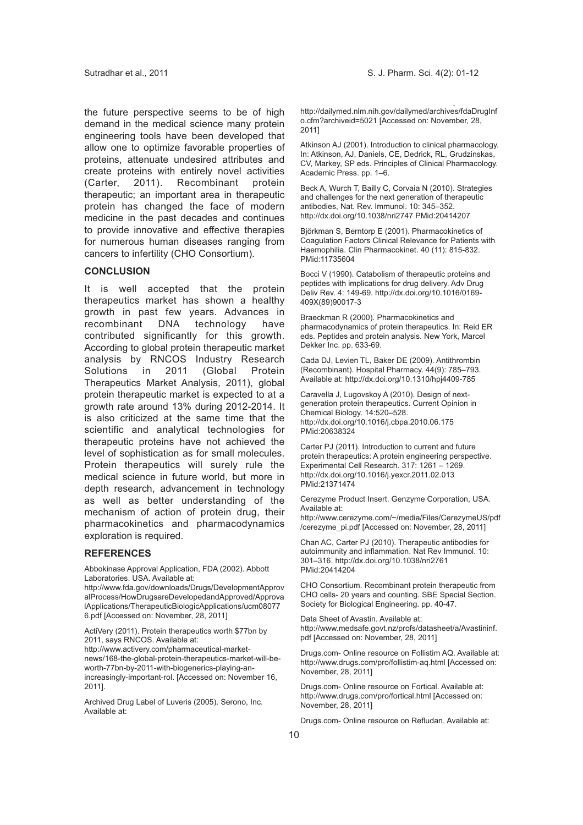the future perspective seems to be of high demand in the medical science many protein engineering tools have been developed that allow one to optimize favorable properties of proteins, attenuate undesired attributes and create proteins with entirely novel activities (Carter, 2011). Recombinant protein therapeutic; an important area in therapeutic protein has changed the face of modern medicine in the past decades and continues to provide innovative and effective therapies for numerous human diseases ranging from cancers to infertility (CHO Consortium).

#### **CONCLUSION**

It is well accepted that the protein therapeutics market has shown a healthy growth in past few years. Advances in recombinant DNA technology have contributed significantly for this growth. According to global protein therapeutic market analysis by RNCOS Industry Research Solutions in 2011 (Global Protein Therapeutics Market Analysis, 2011), global protein therapeutic market is expected to at a growth rate around 13% during 2012-2014. It is also criticized at the same time that the scientific and analytical technologies for therapeutic proteins have not achieved the level of sophistication as for small molecules. Protein therapeutics will surely rule the medical science in future world, but more in depth research, advancement in technology as well as better understanding of the mechanism of action of protein drug, their pharmacokinetics and pharmacodynamics exploration is required.

## **REFERENCES**

Abbokinase Approval Application, FDA (2002). Abbott Laboratories. USA. Available at:

http://www.fda.gov/downloads/Drugs/DevelopmentApprov alProcess/HowDrugsareDevelopedandApproved/Approva lApplications/TherapeuticBiologicApplications/ucm08077 6.pdf [Accessed on: November, 28, 2011]

ActiVery (2011). Protein therapeutics worth \$77bn by 2011, says RNCOS. Available at:

http://www.activery.com/pharmaceutical-marketnews/168-the-global-protein-therapeutics-market-will-beworth-77bn-by-2011-with-biogenerics-playing-anincreasingly-important-rol. [Accessed on: November 16, 2011].

Archived Drug Label of Luveris (2005). Serono, Inc. Available at:

http://dailymed.nlm.nih.gov/dailymed/archives/fdaDrugInf o.cfm?archiveid=5021 [Accessed on: November, 28, 2011]

Atkinson AJ (2001). Introduction to clinical pharmacology. In: Atkinson, AJ, Daniels, CE, Dedrick, RL, Grudzinskas, CV, Markey, SP eds. Principles of Clinical Pharmacology. Academic Press. pp. 1–6.

Beck A, Wurch T, Bailly C, Corvaia N (2010). Strategies and challenges for the next generation of therapeutic antibodies, Nat. Rev. Immunol. 10: 345–352. http://dx.doi.org/10.1038/nri2747 PMid:20414207

Björkman S, Berntorp E (2001). Pharmacokinetics of Coagulation Factors Clinical Relevance for Patients with Haemophilia. Clin Pharmacokinet. 40 (11): 815-832. PMid:11735604

Bocci V (1990). Catabolism of therapeutic proteins and peptides with implications for drug delivery. Adv Drug Deliv Rev. 4: 149-69. http://dx.doi.org/10.1016/0169- 409X(89)90017-3

Braeckman R (2000). Pharmacokinetics and pharmacodynamics of protein therapeutics. In: Reid ER eds. Peptides and protein analysis. New York, Marcel Dekker Inc. pp. 633-69.

Cada DJ, Levien TL, Baker DE (2009). Antithrombin (Recombinant). Hospital Pharmacy. 44(9): 785–793. Available at: http://dx.doi.org/10.1310/hpj4409-785

Caravella J, Lugovskoy A (2010). Design of nextgeneration protein therapeutics. Current Opinion in Chemical Biology. 14:520–528. http://dx.doi.org/10.1016/j.cbpa.2010.06.175 PMid:20638324

Carter PJ (2011). Introduction to current and future protein therapeutics: A protein engineering perspective. Experimental Cell Research. 317: 1261 – 1269. http://dx.doi.org/10.1016/j.yexcr.2011.02.013 PMid:21371474

Cerezyme Product Insert. Genzyme Corporation, USA. Available at:

http://www.cerezyme.com/~/media/Files/CerezymeUS/pdf /cerezyme\_pi.pdf [Accessed on: November, 28, 2011]

Chan AC, Carter PJ (2010). Therapeutic antibodies for autoimmunity and inflammation. Nat Rev Immunol. 10: 301–316. http://dx.doi.org/10.1038/nri2761 PMid:20414204

CHO Consortium. Recombinant protein therapeutic from CHO cells- 20 years and counting. SBE Special Section. Society for Biological Engineering. pp. 40-47.

Data Sheet of Avastin. Available at: http://www.medsafe.govt.nz/profs/datasheet/a/Avastininf. pdf [Accessed on: November, 28, 2011]

Drugs.com- Online resource on Follistim AQ. Available at: http://www.drugs.com/pro/follistim-aq.html [Accessed on: November, 28, 2011]

Drugs.com- Online resource on Fortical. Available at: http://www.drugs.com/pro/fortical.html [Accessed on: November, 28, 2011]

Drugs.com- Online resource on Refludan. Available at: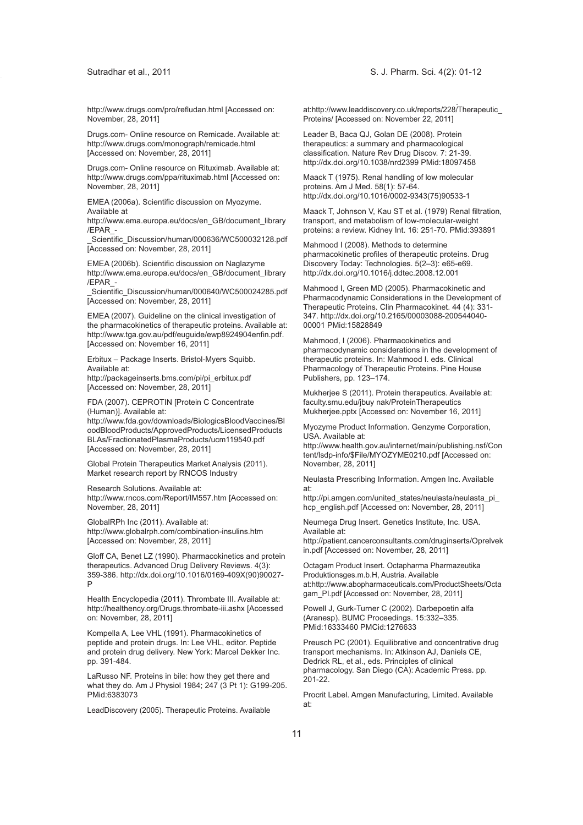http://www.drugs.com/pro/refludan.html [Accessed on: November, 28, 2011]

Drugs.com- Online resource on Remicade. Available at: http://www.drugs.com/monograph/remicade.html [Accessed on: November, 28, 2011]

Drugs.com- Online resource on Rituximab. Available at: http://www.drugs.com/ppa/rituximab.html [Accessed on: November, 28, 2011]

EMEA (2006a). Scientific discussion on Myozyme. Available at

http://www.ema.europa.eu/docs/en\_GB/document\_library /EPAR\_-

Scientific\_Discussion/human/000636/WC500032128.pdf [Accessed on: November, 28, 2011]

EMEA (2006b). Scientific discussion on Naglazyme http://www.ema.europa.eu/docs/en\_GB/document\_library /EPAR\_-

\_Scientific\_Discussion/human/000640/WC500024285.pdf [Accessed on: November, 28, 2011]

EMEA (2007). Guideline on the clinical investigation of the pharmacokinetics of therapeutic proteins. Available at: http://www.tga.gov.au/pdf/euguide/ewp8924904enfin.pdf. [Accessed on: November 16, 2011]

Erbitux – Package Inserts. Bristol-Myers Squibb. Available at: http://packageinserts.bms.com/pi/pi\_erbitux.pdf [Accessed on: November, 28, 2011]

FDA (2007). CEPROTIN [Protein C Concentrate (Human)]. Available at: http://www.fda.gov/downloads/BiologicsBloodVaccines/Bl oodBloodProducts/ApprovedProducts/LicensedProducts BLAs/FractionatedPlasmaProducts/ucm119540.pdf [Accessed on: November, 28, 2011]

Global Protein Therapeutics Market Analysis (2011). Market research report by RNCOS Industry

Research Solutions. Available at: http://www.rncos.com/Report/IM557.htm [Accessed on: November, 28, 2011]

GlobalRPh Inc (2011). Available at: http://www.globalrph.com/combination-insulins.htm [Accessed on: November, 28, 2011]

Gloff CA, Benet LZ (1990). Pharmacokinetics and protein therapeutics. Advanced Drug Delivery Reviews. 4(3): 359-386. http://dx.doi.org/10.1016/0169-409X(90)90027- P

Health Encyclopedia (2011). Thrombate III. Available at: http://healthency.org/Drugs.thrombate-iii.ashx [Accessed on: November, 28, 2011]

Kompella A, Lee VHL (1991). Pharmacokinetics of peptide and protein drugs. In: Lee VHL, editor. Peptide and protein drug delivery. New York: Marcel Dekker Inc. pp. 391-484.

LaRusso NF. Proteins in bile: how they get there and what they do. Am J Physiol 1984; 247 (3 Pt 1): G199-205. PMid:6383073

LeadDiscovery (2005). Therapeutic Proteins. Available

at:http://www.leaddiscovery.co.uk/reports/228/Therapeutic\_ Proteins/ [Accessed on: November 22, 2011]

Leader B, Baca QJ, Golan DE (2008). Protein therapeutics: a summary and pharmacological classification. Nature Rev Drug Discov. 7: 21-39. http://dx.doi.org/10.1038/nrd2399 PMid:18097458

Maack T (1975). Renal handling of low molecular proteins. Am J Med. 58(1): 57-64. http://dx.doi.org/10.1016/0002-9343(75)90533-1

Maack T, Johnson V, Kau ST et al. (1979) Renal filtration, transport, and metabolism of low-molecular-weight proteins: a review. Kidney Int. 16: 251-70. PMid:393891

Mahmood I (2008). Methods to determine pharmacokinetic profiles of therapeutic proteins. Drug Discovery Today: Technologies. 5(2–3): e65-e69. http://dx.doi.org/10.1016/j.ddtec.2008.12.001

Mahmood I, Green MD (2005). Pharmacokinetic and Pharmacodynamic Considerations in the Development of Therapeutic Proteins. Clin Pharmacokinet. 44 (4): 331- 347. http://dx.doi.org/10.2165/00003088-200544040- 00001 PMid:15828849

Mahmood, I (2006). Pharmacokinetics and pharmacodynamic considerations in the development of therapeutic proteins. In: Mahmood I. eds. Clinical Pharmacology of Therapeutic Proteins. Pine House Publishers, pp. 123–174.

Mukherjee S (2011). Protein therapeutics. Available at: faculty.smu.edu/jbuy nak/ProteinTherapeutics Mukherjee.pptx [Accessed on: November 16, 2011]

Myozyme Product Information. Genzyme Corporation, USA. Available at:

http://www.health.gov.au/internet/main/publishing.nsf/Con tent/lsdp-info/\$File/MYOZYME0210.pdf [Accessed on: November, 28, 2011]

Neulasta Prescribing Information. Amgen Inc. Available at:

http://pi.amgen.com/united states/neulasta/neulasta pi hcp\_english.pdf [Accessed on: November, 28, 2011]

Neumega Drug Insert. Genetics Institute, Inc. USA. Available at:

http://patient.cancerconsultants.com/druginserts/Oprelvek in.pdf [Accessed on: November, 28, 2011]

Octagam Product Insert. Octapharma Pharmazeutika Produktionsges.m.b.H, Austria. Available at:http://www.abopharmaceuticals.com/ProductSheets/Octa gam\_PI.pdf [Accessed on: November, 28, 2011]

Powell J, Gurk-Turner C (2002). Darbepoetin alfa (Aranesp). BUMC Proceedings. 15:332–335. PMid:16333460 PMCid:1276633

Preusch PC (2001). Equilibrative and concentrative drug transport mechanisms. In: Atkinson AJ, Daniels CE, Dedrick RL, et al., eds. Principles of clinical pharmacology. San Diego (CA): Academic Press. pp. 201-22.

Procrit Label. Amgen Manufacturing, Limited. Available at: